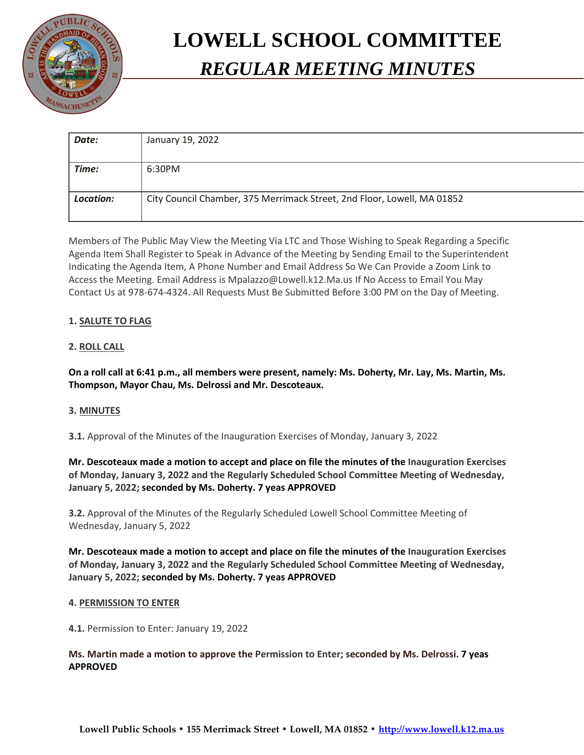

# **LOWELL SCHOOL COMMITTEE** *REGULAR MEETING MINUTES*

| Date:     | January 19, 2022                                                        |
|-----------|-------------------------------------------------------------------------|
|           |                                                                         |
| Time:     | 6:30PM                                                                  |
|           |                                                                         |
| Location: | City Council Chamber, 375 Merrimack Street, 2nd Floor, Lowell, MA 01852 |
|           |                                                                         |

Members of The Public May View the Meeting Via LTC and Those Wishing to Speak Regarding a Specific Agenda Item Shall Register to Speak in Advance of the Meeting by Sending Email to the Superintendent Indicating the Agenda Item, A Phone Number and Email Address So We Can Provide a Zoom Link to Access the Meeting. Email Address is Mpalazzo@Lowell.k12.Ma.us If No Access to Email You May Contact Us at 978-674-4324. All Requests Must Be Submitted Before 3:00 PM on the Day of Meeting.

# **1. SALUTE TO FLAG**

## **2. ROLL CALL**

**On a roll call at 6:41 p.m., all members were present, namely: Ms. Doherty, Mr. Lay, Ms. Martin, Ms. Thompson, Mayor Chau, Ms. Delrossi and Mr. Descoteaux.**

## **3. MINUTES**

**3.1.** Approval of the Minutes of the Inauguration Exercises of Monday, January 3, 2022

**Mr. Descoteaux made a motion to accept and place on file the minutes of the Inauguration Exercises of Monday, January 3, 2022 and the Regularly Scheduled School Committee Meeting of Wednesday, January 5, 2022; seconded by Ms. Doherty. 7 yeas APPROVED**

**3.2.** Approval of the Minutes of the Regularly Scheduled Lowell School Committee Meeting of Wednesday, January 5, 2022

**Mr. Descoteaux made a motion to accept and place on file the minutes of the Inauguration Exercises of Monday, January 3, 2022 and the Regularly Scheduled School Committee Meeting of Wednesday, January 5, 2022; seconded by Ms. Doherty. 7 yeas APPROVED**

## **4. PERMISSION TO ENTER**

**4.1.** Permission to Enter: January 19, 2022

## **Ms. Martin made a motion to approve the Permission to Enter; seconded by Ms. Delrossi. 7 yeas APPROVED**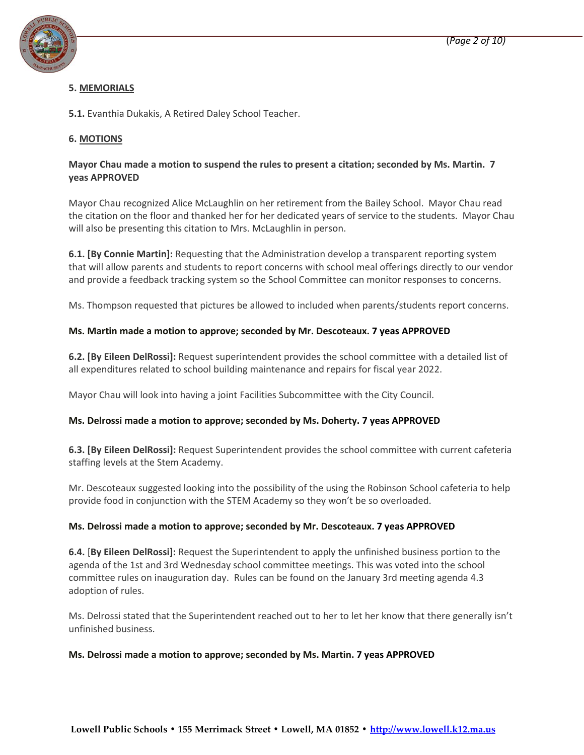

## **5. MEMORIALS**

**5.1.** Evanthia Dukakis, A Retired Daley School Teacher.

# **6. MOTIONS**

## **Mayor Chau made a motion to suspend the rules to present a citation; seconded by Ms. Martin. 7 yeas APPROVED**

Mayor Chau recognized Alice McLaughlin on her retirement from the Bailey School. Mayor Chau read the citation on the floor and thanked her for her dedicated years of service to the students. Mayor Chau will also be presenting this citation to Mrs. McLaughlin in person.

**6.1. [By Connie Martin]:** Requesting that the Administration develop a transparent reporting system that will allow parents and students to report concerns with school meal offerings directly to our vendor and provide a feedback tracking system so the School Committee can monitor responses to concerns.

Ms. Thompson requested that pictures be allowed to included when parents/students report concerns.

## **Ms. Martin made a motion to approve; seconded by Mr. Descoteaux. 7 yeas APPROVED**

**6.2. [By Eileen DelRossi]:** Request superintendent provides the school committee with a detailed list of all expenditures related to school building maintenance and repairs for fiscal year 2022.

Mayor Chau will look into having a joint Facilities Subcommittee with the City Council.

## **Ms. Delrossi made a motion to approve; seconded by Ms. Doherty. 7 yeas APPROVED**

**6.3. [By Eileen DelRossi]:** Request Superintendent provides the school committee with current cafeteria staffing levels at the Stem Academy.

Mr. Descoteaux suggested looking into the possibility of the using the Robinson School cafeteria to help provide food in conjunction with the STEM Academy so they won't be so overloaded.

## **Ms. Delrossi made a motion to approve; seconded by Mr. Descoteaux. 7 yeas APPROVED**

**6.4.** [**By Eileen DelRossi]:** Request the Superintendent to apply the unfinished business portion to the agenda of the 1st and 3rd Wednesday school committee meetings. This was voted into the school committee rules on inauguration day. Rules can be found on the January 3rd meeting agenda 4.3 adoption of rules.

Ms. Delrossi stated that the Superintendent reached out to her to let her know that there generally isn't unfinished business.

#### **Ms. Delrossi made a motion to approve; seconded by Ms. Martin. 7 yeas APPROVED**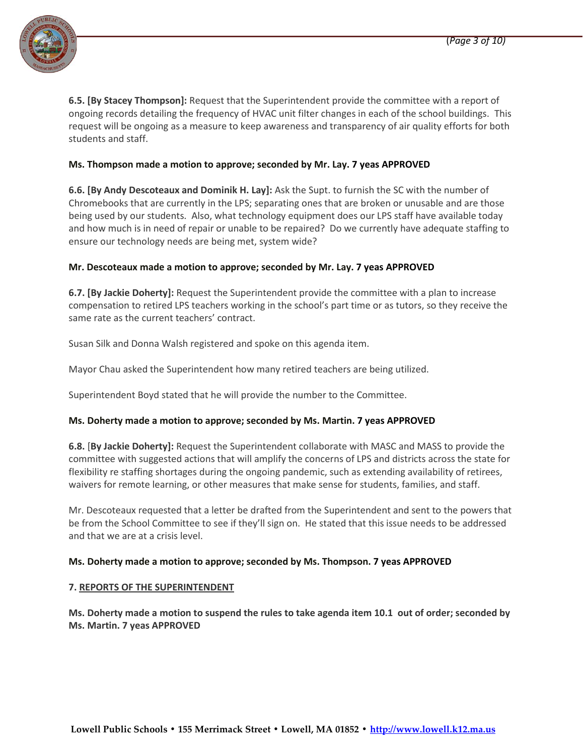

**6.5. [By Stacey Thompson]:** Request that the Superintendent provide the committee with a report of ongoing records detailing the frequency of HVAC unit filter changes in each of the school buildings. This request will be ongoing as a measure to keep awareness and transparency of air quality efforts for both students and staff.

## **Ms. Thompson made a motion to approve; seconded by Mr. Lay. 7 yeas APPROVED**

**6.6. [By Andy Descoteaux and Dominik H. Lay]:** Ask the Supt. to furnish the SC with the number of Chromebooks that are currently in the LPS; separating ones that are broken or unusable and are those being used by our students. Also, what technology equipment does our LPS staff have available today and how much is in need of repair or unable to be repaired? Do we currently have adequate staffing to ensure our technology needs are being met, system wide?

## **Mr. Descoteaux made a motion to approve; seconded by Mr. Lay. 7 yeas APPROVED**

**6.7. [By Jackie Doherty]:** Request the Superintendent provide the committee with a plan to increase compensation to retired LPS teachers working in the school's part time or as tutors, so they receive the same rate as the current teachers' contract.

Susan Silk and Donna Walsh registered and spoke on this agenda item.

Mayor Chau asked the Superintendent how many retired teachers are being utilized.

Superintendent Boyd stated that he will provide the number to the Committee.

## **Ms. Doherty made a motion to approve; seconded by Ms. Martin. 7 yeas APPROVED**

**6.8.** [**By Jackie Doherty]:** Request the Superintendent collaborate with MASC and MASS to provide the committee with suggested actions that will amplify the concerns of LPS and districts across the state for flexibility re staffing shortages during the ongoing pandemic, such as extending availability of retirees, waivers for remote learning, or other measures that make sense for students, families, and staff.

Mr. Descoteaux requested that a letter be drafted from the Superintendent and sent to the powers that be from the School Committee to see if they'll sign on. He stated that this issue needs to be addressed and that we are at a crisis level.

## **Ms. Doherty made a motion to approve; seconded by Ms. Thompson. 7 yeas APPROVED**

## **7. REPORTS OF THE SUPERINTENDENT**

**Ms. Doherty made a motion to suspend the rules to take agenda item 10.1 out of order; seconded by Ms. Martin. 7 yeas APPROVED**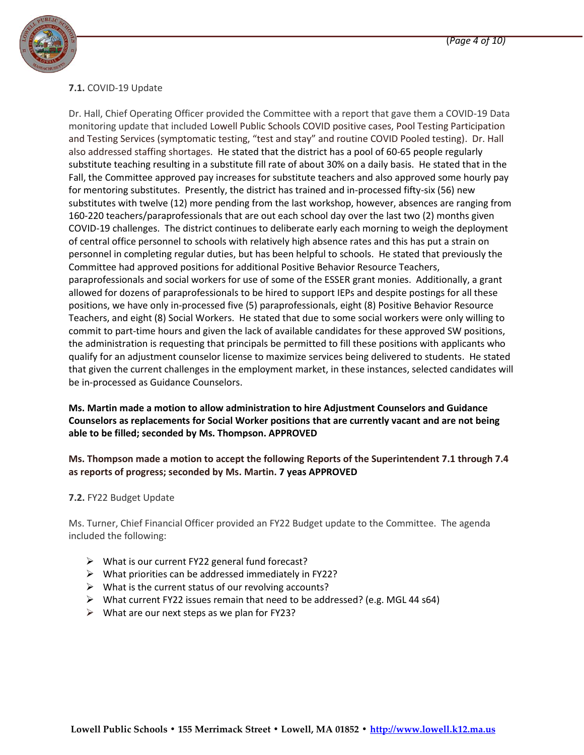

# **7.1.** COVID-19 Update

Dr. Hall, Chief Operating Officer provided the Committee with a report that gave them a COVID-19 Data monitoring update that included Lowell Public Schools COVID positive cases, Pool Testing Participation and Testing Services (symptomatic testing, "test and stay" and routine COVID Pooled testing). Dr. Hall also addressed staffing shortages. He stated that the district has a pool of 60-65 people regularly substitute teaching resulting in a substitute fill rate of about 30% on a daily basis. He stated that in the Fall, the Committee approved pay increases for substitute teachers and also approved some hourly pay for mentoring substitutes. Presently, the district has trained and in-processed fifty-six (56) new substitutes with twelve (12) more pending from the last workshop, however, absences are ranging from 160-220 teachers/paraprofessionals that are out each school day over the last two (2) months given COVID-19 challenges. The district continues to deliberate early each morning to weigh the deployment of central office personnel to schools with relatively high absence rates and this has put a strain on personnel in completing regular duties, but has been helpful to schools. He stated that previously the Committee had approved positions for additional Positive Behavior Resource Teachers, paraprofessionals and social workers for use of some of the ESSER grant monies. Additionally, a grant allowed for dozens of paraprofessionals to be hired to support IEPs and despite postings for all these positions, we have only in-processed five (5) paraprofessionals, eight (8) Positive Behavior Resource Teachers, and eight (8) Social Workers. He stated that due to some social workers were only willing to commit to part-time hours and given the lack of available candidates for these approved SW positions, the administration is requesting that principals be permitted to fill these positions with applicants who qualify for an adjustment counselor license to maximize services being delivered to students. He stated that given the current challenges in the employment market, in these instances, selected candidates will be in-processed as Guidance Counselors.

# **Ms. Martin made a motion to allow administration to hire Adjustment Counselors and Guidance Counselors as replacements for Social Worker positions that are currently vacant and are not being able to be filled; seconded by Ms. Thompson. APPROVED**

# **Ms. Thompson made a motion to accept the following Reports of the Superintendent 7.1 through 7.4 as reports of progress; seconded by Ms. Martin. 7 yeas APPROVED**

## **7.2.** FY22 Budget Update

Ms. Turner, Chief Financial Officer provided an FY22 Budget update to the Committee. The agenda included the following:

- $\triangleright$  What is our current FY22 general fund forecast?
- $\triangleright$  What priorities can be addressed immediately in FY22?
- $\triangleright$  What is the current status of our revolving accounts?
- What current FY22 issues remain that need to be addressed? (e.g. MGL 44 s64)
- $\triangleright$  What are our next steps as we plan for FY23?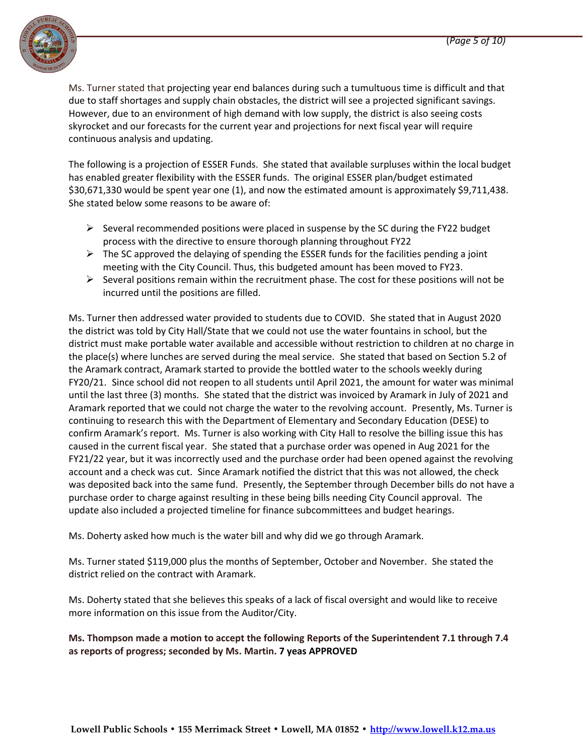

Ms. Turner stated that projecting year end balances during such a tumultuous time is difficult and that due to staff shortages and supply chain obstacles, the district will see a projected significant savings. However, due to an environment of high demand with low supply, the district is also seeing costs skyrocket and our forecasts for the current year and projections for next fiscal year will require continuous analysis and updating.

The following is a projection of ESSER Funds. She stated that available surpluses within the local budget has enabled greater flexibility with the ESSER funds. The original ESSER plan/budget estimated \$30,671,330 would be spent year one (1), and now the estimated amount is approximately \$9,711,438. She stated below some reasons to be aware of:

- $\triangleright$  Several recommended positions were placed in suspense by the SC during the FY22 budget process with the directive to ensure thorough planning throughout FY22
- $\triangleright$  The SC approved the delaying of spending the ESSER funds for the facilities pending a joint meeting with the City Council. Thus, this budgeted amount has been moved to FY23.
- $\triangleright$  Several positions remain within the recruitment phase. The cost for these positions will not be incurred until the positions are filled.

Ms. Turner then addressed water provided to students due to COVID. She stated that in August 2020 the district was told by City Hall/State that we could not use the water fountains in school, but the district must make portable water available and accessible without restriction to children at no charge in the place(s) where lunches are served during the meal service. She stated that based on Section 5.2 of the Aramark contract, Aramark started to provide the bottled water to the schools weekly during FY20/21. Since school did not reopen to all students until April 2021, the amount for water was minimal until the last three (3) months. She stated that the district was invoiced by Aramark in July of 2021 and Aramark reported that we could not charge the water to the revolving account. Presently, Ms. Turner is continuing to research this with the Department of Elementary and Secondary Education (DESE) to confirm Aramark's report. Ms. Turner is also working with City Hall to resolve the billing issue this has caused in the current fiscal year. She stated that a purchase order was opened in Aug 2021 for the FY21/22 year, but it was incorrectly used and the purchase order had been opened against the revolving account and a check was cut. Since Aramark notified the district that this was not allowed, the check was deposited back into the same fund. Presently, the September through December bills do not have a purchase order to charge against resulting in these being bills needing City Council approval. The update also included a projected timeline for finance subcommittees and budget hearings.

Ms. Doherty asked how much is the water bill and why did we go through Aramark.

Ms. Turner stated \$119,000 plus the months of September, October and November. She stated the district relied on the contract with Aramark.

Ms. Doherty stated that she believes this speaks of a lack of fiscal oversight and would like to receive more information on this issue from the Auditor/City.

## **Ms. Thompson made a motion to accept the following Reports of the Superintendent 7.1 through 7.4 as reports of progress; seconded by Ms. Martin. 7 yeas APPROVED**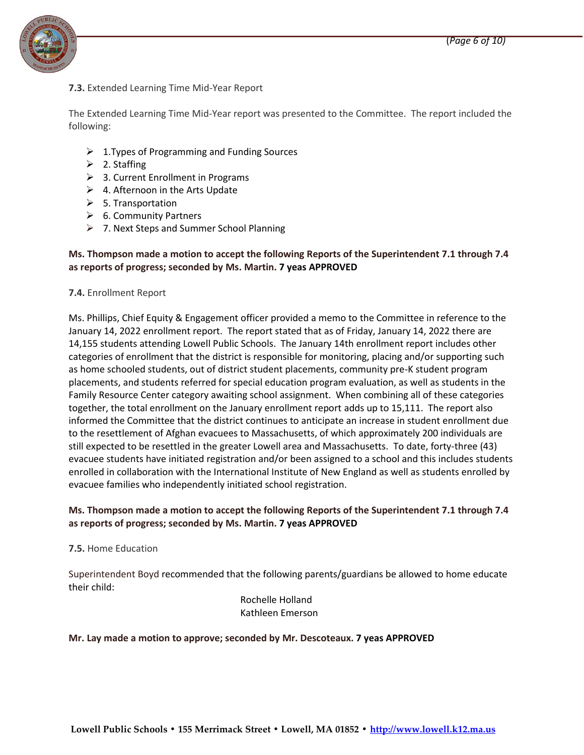

**7.3.** Extended Learning Time Mid-Year Report

The Extended Learning Time Mid-Year report was presented to the Committee. The report included the following:

- $\geq 1$ . Types of Programming and Funding Sources
- $\geq$  2. Staffing
- $\geq$  3. Current Enrollment in Programs
- $\triangleright$  4. Afternoon in the Arts Update
- $\triangleright$  5. Transportation
- $\triangleright$  6. Community Partners
- $\triangleright$  7. Next Steps and Summer School Planning

## **Ms. Thompson made a motion to accept the following Reports of the Superintendent 7.1 through 7.4 as reports of progress; seconded by Ms. Martin. 7 yeas APPROVED**

#### **7.4.** Enrollment Report

Ms. Phillips, Chief Equity & Engagement officer provided a memo to the Committee in reference to the January 14, 2022 enrollment report. The report stated that as of Friday, January 14, 2022 there are 14,155 students attending Lowell Public Schools. The January 14th enrollment report includes other categories of enrollment that the district is responsible for monitoring, placing and/or supporting such as home schooled students, out of district student placements, community pre-K student program placements, and students referred for special education program evaluation, as well as students in the Family Resource Center category awaiting school assignment. When combining all of these categories together, the total enrollment on the January enrollment report adds up to 15,111. The report also informed the Committee that the district continues to anticipate an increase in student enrollment due to the resettlement of Afghan evacuees to Massachusetts, of which approximately 200 individuals are still expected to be resettled in the greater Lowell area and Massachusetts. To date, forty-three (43) evacuee students have initiated registration and/or been assigned to a school and this includes students enrolled in collaboration with the International Institute of New England as well as students enrolled by evacuee families who independently initiated school registration.

# **Ms. Thompson made a motion to accept the following Reports of the Superintendent 7.1 through 7.4 as reports of progress; seconded by Ms. Martin. 7 yeas APPROVED**

## **7.5.** Home Education

Superintendent Boyd recommended that the following parents/guardians be allowed to home educate their child:

> Rochelle Holland Kathleen Emerson

## **Mr. Lay made a motion to approve; seconded by Mr. Descoteaux. 7 yeas APPROVED**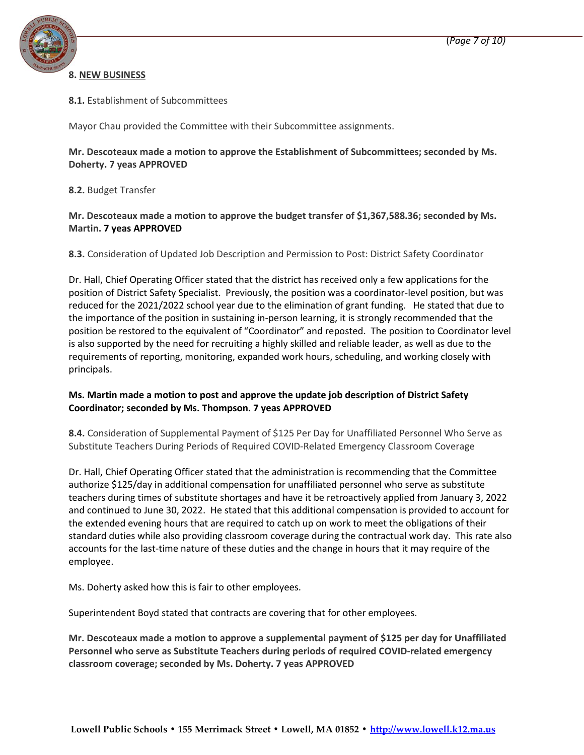

## **8. NEW BUSINESS**

## **8.1.** Establishment of Subcommittees

Mayor Chau provided the Committee with their Subcommittee assignments.

## **Mr. Descoteaux made a motion to approve the Establishment of Subcommittees; seconded by Ms. Doherty. 7 yeas APPROVED**

**8.2.** Budget Transfer

# **Mr. Descoteaux made a motion to approve the budget transfer of \$1,367,588.36; seconded by Ms. Martin. 7 yeas APPROVED**

**8.3.** Consideration of Updated Job Description and Permission to Post: District Safety Coordinator

Dr. Hall, Chief Operating Officer stated that the district has received only a few applications for the position of District Safety Specialist. Previously, the position was a coordinator-level position, but was reduced for the 2021/2022 school year due to the elimination of grant funding. He stated that due to the importance of the position in sustaining in-person learning, it is strongly recommended that the position be restored to the equivalent of "Coordinator" and reposted. The position to Coordinator level is also supported by the need for recruiting a highly skilled and reliable leader, as well as due to the requirements of reporting, monitoring, expanded work hours, scheduling, and working closely with principals.

## **Ms. Martin made a motion to post and approve the update job description of District Safety Coordinator; seconded by Ms. Thompson. 7 yeas APPROVED**

**8.4.** Consideration of Supplemental Payment of \$125 Per Day for Unaffiliated Personnel Who Serve as Substitute Teachers During Periods of Required COVID-Related Emergency Classroom Coverage

Dr. Hall, Chief Operating Officer stated that the administration is recommending that the Committee authorize \$125/day in additional compensation for unaffiliated personnel who serve as substitute teachers during times of substitute shortages and have it be retroactively applied from January 3, 2022 and continued to June 30, 2022. He stated that this additional compensation is provided to account for the extended evening hours that are required to catch up on work to meet the obligations of their standard duties while also providing classroom coverage during the contractual work day. This rate also accounts for the last-time nature of these duties and the change in hours that it may require of the employee.

Ms. Doherty asked how this is fair to other employees.

Superintendent Boyd stated that contracts are covering that for other employees.

**Mr. Descoteaux made a motion to approve a supplemental payment of \$125 per day for Unaffiliated Personnel who serve as Substitute Teachers during periods of required COVID-related emergency classroom coverage; seconded by Ms. Doherty. 7 yeas APPROVED**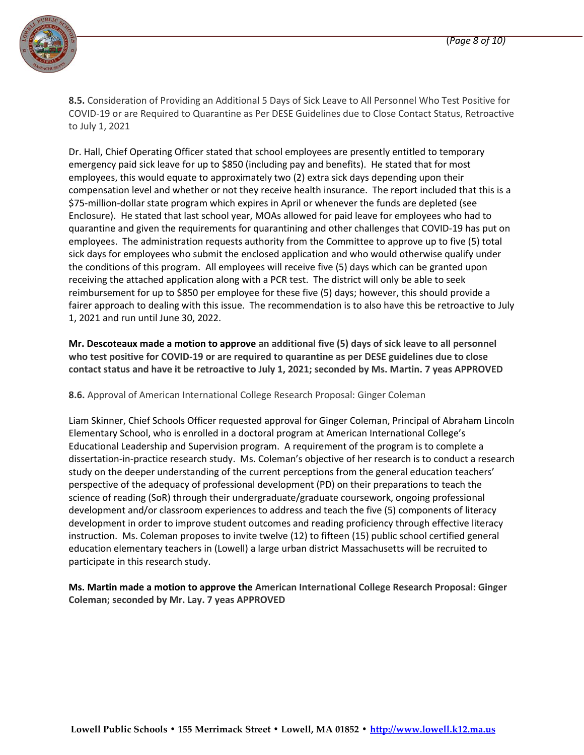

**8.5.** Consideration of Providing an Additional 5 Days of Sick Leave to All Personnel Who Test Positive for COVID-19 or are Required to Quarantine as Per DESE Guidelines due to Close Contact Status, Retroactive to July 1, 2021

Dr. Hall, Chief Operating Officer stated that school employees are presently entitled to temporary emergency paid sick leave for up to \$850 (including pay and benefits). He stated that for most employees, this would equate to approximately two (2) extra sick days depending upon their compensation level and whether or not they receive health insurance. The report included that this is a \$75-million-dollar state program which expires in April or whenever the funds are depleted (see Enclosure). He stated that last school year, MOAs allowed for paid leave for employees who had to quarantine and given the requirements for quarantining and other challenges that COVID-19 has put on employees. The administration requests authority from the Committee to approve up to five (5) total sick days for employees who submit the enclosed application and who would otherwise qualify under the conditions of this program. All employees will receive five (5) days which can be granted upon receiving the attached application along with a PCR test. The district will only be able to seek reimbursement for up to \$850 per employee for these five (5) days; however, this should provide a fairer approach to dealing with this issue. The recommendation is to also have this be retroactive to July 1, 2021 and run until June 30, 2022.

**Mr. Descoteaux made a motion to approve an additional five (5) days of sick leave to all personnel who test positive for COVID-19 or are required to quarantine as per DESE guidelines due to close contact status and have it be retroactive to July 1, 2021; seconded by Ms. Martin. 7 yeas APPROVED**

**8.6.** Approval of American International College Research Proposal: Ginger Coleman

Liam Skinner, Chief Schools Officer requested approval for Ginger Coleman, Principal of Abraham Lincoln Elementary School, who is enrolled in a doctoral program at American International College's Educational Leadership and Supervision program. A requirement of the program is to complete a dissertation-in-practice research study. Ms. Coleman's objective of her research is to conduct a research study on the deeper understanding of the current perceptions from the general education teachers' perspective of the adequacy of professional development (PD) on their preparations to teach the science of reading (SoR) through their undergraduate/graduate coursework, ongoing professional development and/or classroom experiences to address and teach the five (5) components of literacy development in order to improve student outcomes and reading proficiency through effective literacy instruction. Ms. Coleman proposes to invite twelve (12) to fifteen (15) public school certified general education elementary teachers in (Lowell) a large urban district Massachusetts will be recruited to participate in this research study.

**Ms. Martin made a motion to approve the American International College Research Proposal: Ginger Coleman; seconded by Mr. Lay. 7 yeas APPROVED**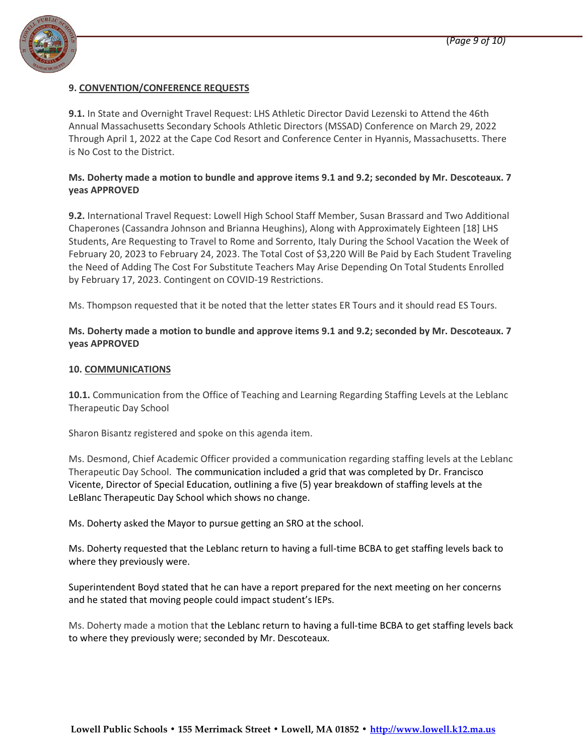

#### **9. CONVENTION/CONFERENCE REQUESTS**

**9.1.** In State and Overnight Travel Request: LHS Athletic Director David Lezenski to Attend the 46th Annual Massachusetts Secondary Schools Athletic Directors (MSSAD) Conference on March 29, 2022 Through April 1, 2022 at the Cape Cod Resort and Conference Center in Hyannis, Massachusetts. There is No Cost to the District.

## **Ms. Doherty made a motion to bundle and approve items 9.1 and 9.2; seconded by Mr. Descoteaux. 7 yeas APPROVED**

**9.2.** International Travel Request: Lowell High School Staff Member, Susan Brassard and Two Additional Chaperones (Cassandra Johnson and Brianna Heughins), Along with Approximately Eighteen [18] LHS Students, Are Requesting to Travel to Rome and Sorrento, Italy During the School Vacation the Week of February 20, 2023 to February 24, 2023. The Total Cost of \$3,220 Will Be Paid by Each Student Traveling the Need of Adding The Cost For Substitute Teachers May Arise Depending On Total Students Enrolled by February 17, 2023. Contingent on COVID-19 Restrictions.

Ms. Thompson requested that it be noted that the letter states ER Tours and it should read ES Tours.

**Ms. Doherty made a motion to bundle and approve items 9.1 and 9.2; seconded by Mr. Descoteaux. 7 yeas APPROVED**

#### **10. COMMUNICATIONS**

**10.1.** Communication from the Office of Teaching and Learning Regarding Staffing Levels at the Leblanc Therapeutic Day School

Sharon Bisantz registered and spoke on this agenda item.

Ms. Desmond, Chief Academic Officer provided a communication regarding staffing levels at the Leblanc Therapeutic Day School. The communication included a grid that was completed by Dr. Francisco Vicente, Director of Special Education, outlining a five (5) year breakdown of staffing levels at the LeBlanc Therapeutic Day School which shows no change.

Ms. Doherty asked the Mayor to pursue getting an SRO at the school.

Ms. Doherty requested that the Leblanc return to having a full-time BCBA to get staffing levels back to where they previously were.

Superintendent Boyd stated that he can have a report prepared for the next meeting on her concerns and he stated that moving people could impact student's IEPs.

Ms. Doherty made a motion that the Leblanc return to having a full-time BCBA to get staffing levels back to where they previously were; seconded by Mr. Descoteaux.